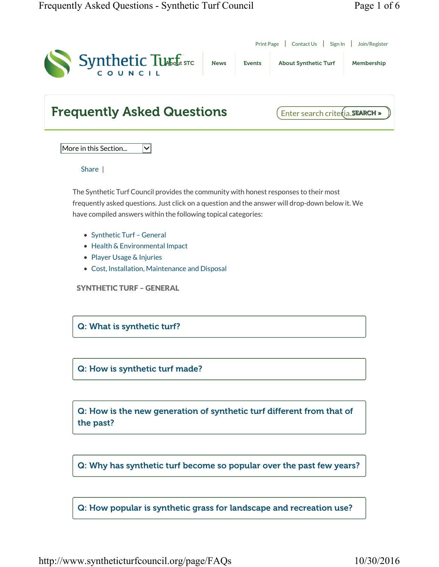| Synthetic Turffistc                                                                                                                                                                                                                               | <b>News</b> | <b>Events</b> | <b>About Synthetic Turf</b><br>Membership |
|---------------------------------------------------------------------------------------------------------------------------------------------------------------------------------------------------------------------------------------------------|-------------|---------------|-------------------------------------------|
| <b>Frequently Asked Questions</b>                                                                                                                                                                                                                 |             |               | Enter search crite (ia. SEARCH »          |
| More in this Section<br>✓                                                                                                                                                                                                                         |             |               |                                           |
| Share                                                                                                                                                                                                                                             |             |               |                                           |
| have compiled answers within the following topical categories:<br>• Synthetic Turf - General<br>• Health & Environmental Impact<br>• Player Usage & Injuries<br>• Cost, Installation, Maintenance and Disposal<br><b>SYNTHETIC TURF - GENERAL</b> |             |               |                                           |
|                                                                                                                                                                                                                                                   |             |               |                                           |
| Q: What is synthetic turf?                                                                                                                                                                                                                        |             |               |                                           |
| Q: How is synthetic turf made?                                                                                                                                                                                                                    |             |               |                                           |
| Q: How is the new generation of synthetic turf different from that of<br>the past?                                                                                                                                                                |             |               |                                           |
| Q: Why has synthetic turf become so popular over the past few years?                                                                                                                                                                              |             |               |                                           |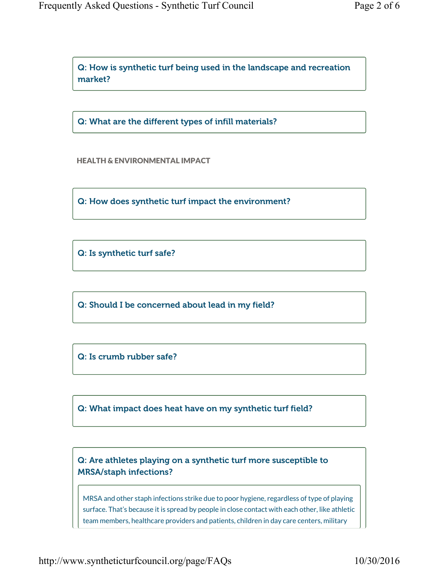Q: How is synthetic turf being used in the landscape and recreation market?

Q: What are the different types of infill materials?

HEALTH & ENVIRONMENTAL IMPACT

Q: How does synthetic turf impact the environment?

Q: Is synthetic turf safe?

Q: Should I be concerned about lead in my field?

Q: Is crumb rubber safe?

Q: What impact does heat have on my synthetic turf field?

Q: Are athletes playing on a synthetic turf more susceptible to MRSA/staph infections?

MRSA and other staph infections strike due to poor hygiene, regardless of type of playing surface. That's because it is spread by people in close contact with each other, like athletic team members, healthcare providers and patients, children in day care centers, military

http://www.syntheticturfcouncil.org/page/FAQs 10/30/2016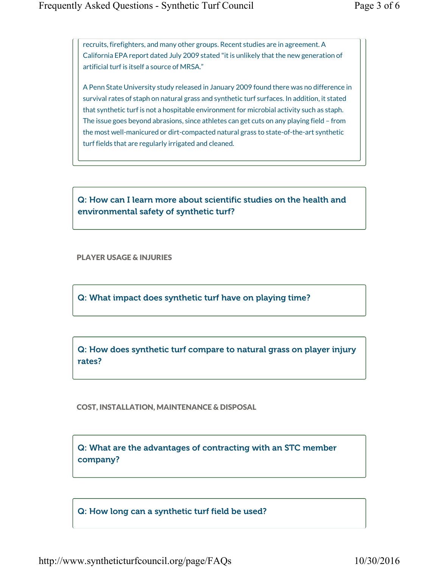recruits, firefighters, and many other groups. Recent studies are in agreement. A California EPA report dated July 2009 stated "it is unlikely that the new generation of artificial turf is itself a source of MRSA."

A Penn State University study released in January 2009 found there was no difference in survival rates of staph on natural grass and synthetic turf surfaces. In addition, it stated that synthetic turf is not a hospitable environment for microbial activity such as staph. The issue goes beyond abrasions, since athletes can get cuts on any playing field – from the most well-manicured or dirt-compacted natural grass to state-of-the-art synthetic turf fields that are regularly irrigated and cleaned.

Q: How can I learn more about scientific studies on the health and environmental safety of synthetic turf?

PLAYER USAGE & INJURIES

Q: What impact does synthetic turf have on playing time?

Q: How does synthetic turf compare to natural grass on player injury rates?

COST, INSTALLATION, MAINTENANCE & DISPOSAL

Q: What are the advantages of contracting with an STC member company?

Q: How long can a synthetic turf field be used?

http://www.syntheticturfcouncil.org/page/FAQs 10/30/2016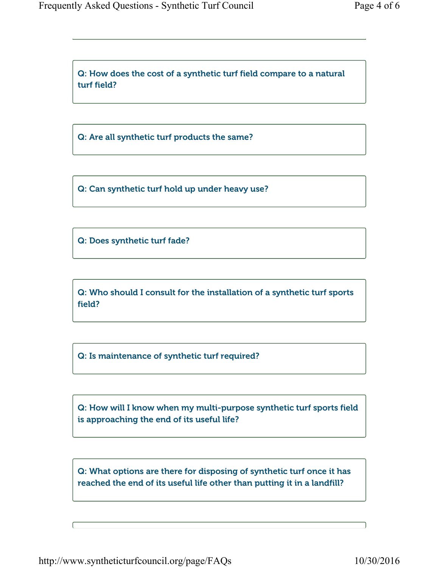Q: How does the cost of a synthetic turf field compare to a natural turf field?

Q: Are all synthetic turf products the same?

Q: Can synthetic turf hold up under heavy use?

Q: Does synthetic turf fade?

Q: Who should I consult for the installation of a synthetic turf sports field?

Q: Is maintenance of synthetic turf required?

Q: How will I know when my multi-purpose synthetic turf sports field is approaching the end of its useful life?

Q: What options are there for disposing of synthetic turf once it has reached the end of its useful life other than putting it in a landfill?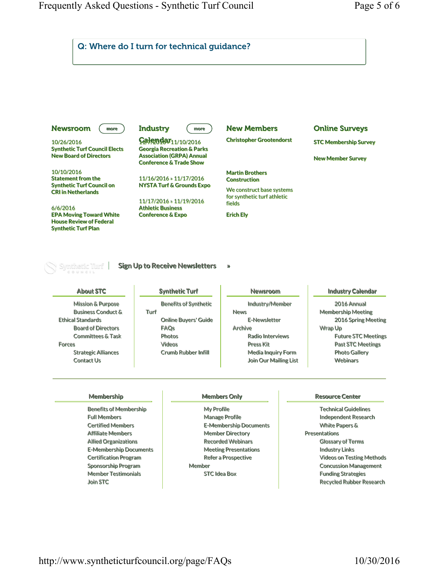

Certified Members Affiliate Members Allied Organizations E-Membership Documents Certification Program Sponsorship Program Member Testimonials Join STC

E-Membership Documents Member Directory Recorded Webinars Meeting Presentations Refer a Prospective Member STC Idea Box

White Papers & Presentations Glossary of Terms Industry Links Videos on Testing Methods Concussion Management Funding Strategies Recycled Rubber Research